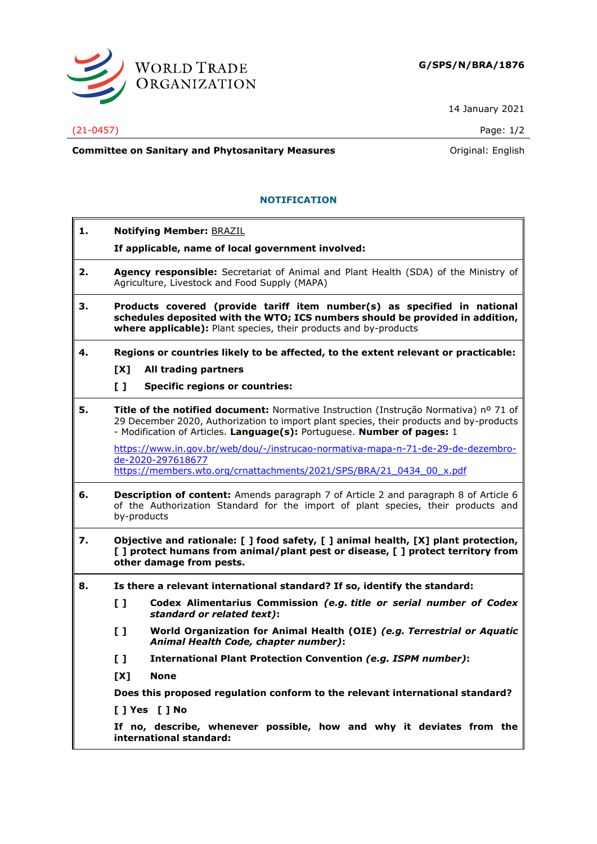

14 January 2021

## (21-0457) Page: 1/2

**Committee on Sanitary and Phytosanitary Measures Committee on Sanitary and Phytosanitary Measures Committee And American** 

## **NOTIFICATION**

- **1. Notifying Member:** BRAZIL
	- **If applicable, name of local government involved:**
- **2. Agency responsible:** Secretariat of Animal and Plant Health (SDA) of the Ministry of Agriculture, Livestock and Food Supply (MAPA)
- **3. Products covered (provide tariff item number(s) as specified in national schedules deposited with the WTO; ICS numbers should be provided in addition, where applicable):** Plant species, their products and by-products
- **4. Regions or countries likely to be affected, to the extent relevant or practicable:**
	- **[X] All trading partners**
	- **[ ] Specific regions or countries:**
- **5. Title of the notified document:** Normative Instruction (Instrução Normativa) nº 71 of 29 December 2020, Authorization to import plant species, their products and by-products - Modification of Articles. **Language(s):** Portuguese. **Number of pages:** 1

[https://www.in.gov.br/web/dou/-/instrucao-normativa-mapa-n-71-de-29-de-dezembro](https://www.in.gov.br/web/dou/-/instrucao-normativa-mapa-n-71-de-29-de-dezembro-de-2020-297618677)[de-2020-297618677](https://www.in.gov.br/web/dou/-/instrucao-normativa-mapa-n-71-de-29-de-dezembro-de-2020-297618677) [https://members.wto.org/crnattachments/2021/SPS/BRA/21\\_0434\\_00\\_x.pdf](https://members.wto.org/crnattachments/2021/SPS/BRA/21_0434_00_x.pdf)

- **6. Description of content:** Amends paragraph 7 of Article 2 and paragraph 8 of Article 6 of the Authorization Standard for the import of plant species, their products and by-products
- **7. Objective and rationale: [ ] food safety, [ ] animal health, [X] plant protection, [ ] protect humans from animal/plant pest or disease, [ ] protect territory from other damage from pests.**
- **8. Is there a relevant international standard? If so, identify the standard:**
	- **[ ] Codex Alimentarius Commission** *(e.g. title or serial number of Codex standard or related text)***:**
	- **[ ] World Organization for Animal Health (OIE)** *(e.g. Terrestrial or Aquatic Animal Health Code, chapter number)***:**
	- **[ ] International Plant Protection Convention** *(e.g. ISPM number)***:**
	- **[X] None**

**Does this proposed regulation conform to the relevant international standard?** 

**[ ] Yes [ ] No**

**If no, describe, whenever possible, how and why it deviates from the international standard:**